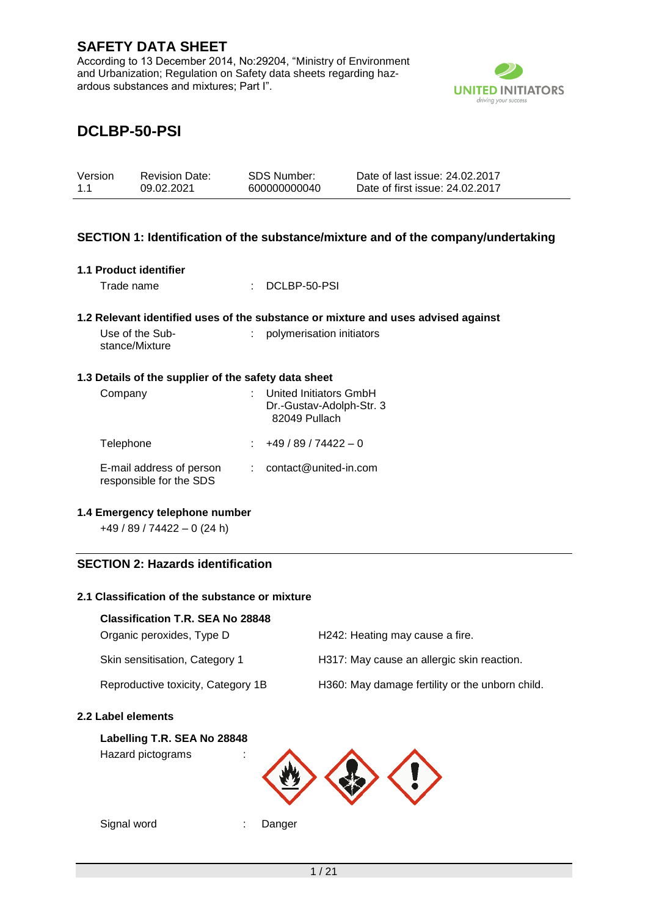According to 13 December 2014, No:29204, "Ministry of Environment and Urbanization; Regulation on Safety data sheets regarding hazardous substances and mixtures; Part I".



# **DCLBP-50-PSI**

| Version | <b>Revision Date:</b> | SDS Number:  | Date of last issue: 24.02.2017  |
|---------|-----------------------|--------------|---------------------------------|
| 1.1     | 09.02.2021            | 600000000040 | Date of first issue: 24.02.2017 |

### **SECTION 1: Identification of the substance/mixture and of the company/undertaking**

| 1.1 Product identifier<br>Trade name                 | DCLBP-50-PSI                                                                                                   |
|------------------------------------------------------|----------------------------------------------------------------------------------------------------------------|
| Use of the Sub-                                      | 1.2 Relevant identified uses of the substance or mixture and uses advised against<br>polymerisation initiators |
| stance/Mixture                                       |                                                                                                                |
| 1.3 Details of the supplier of the safety data sheet |                                                                                                                |
| Company                                              | United Initiators GmbH<br>Dr.-Gustav-Adolph-Str. 3<br>82049 Pullach                                            |
| Telephone                                            | $\pm 49/89/74422 - 0$                                                                                          |
| E-mail address of person<br>responsible for the SDS  | $:$ contact@united-in.com                                                                                      |

#### **1.4 Emergency telephone number**

+49 / 89 / 74422 – 0 (24 h)

### **SECTION 2: Hazards identification**

### **2.1 Classification of the substance or mixture**

#### **Classification T.R. SEA No 28848**

| Organic peroxides, Type D          | H <sub>242</sub> : Heating may cause a fire.    |
|------------------------------------|-------------------------------------------------|
| Skin sensitisation, Category 1     | H317: May cause an allergic skin reaction.      |
| Reproductive toxicity, Category 1B | H360: May damage fertility or the unborn child. |

### **2.2 Label elements**

#### **Labelling T.R. SEA No 28848**

Hazard pictograms :



Signal word : Danger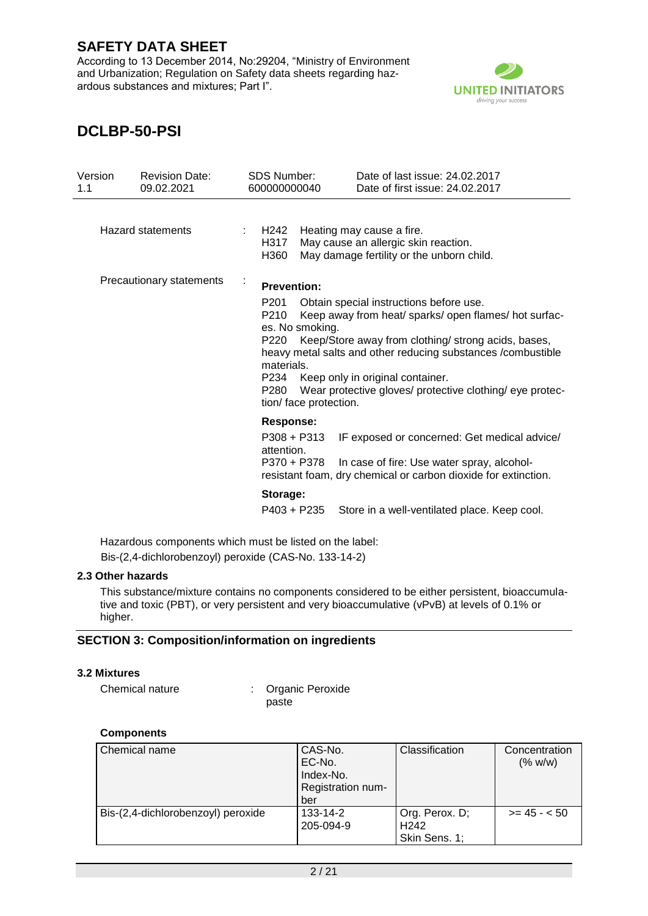According to 13 December 2014, No:29204, "Ministry of Environment and Urbanization; Regulation on Safety data sheets regarding hazardous substances and mixtures; Part I".



# **DCLBP-50-PSI**

| Version<br>1.1 | <b>Revision Date:</b><br>09.02.2021 | <b>SDS Number:</b><br>600000000040                                                             | Date of last issue: 24.02.2017<br>Date of first issue: 24.02.2017                                                                                                                                                                                                                                                     |
|----------------|-------------------------------------|------------------------------------------------------------------------------------------------|-----------------------------------------------------------------------------------------------------------------------------------------------------------------------------------------------------------------------------------------------------------------------------------------------------------------------|
|                | <b>Hazard statements</b>            | H242<br>H317<br>H360                                                                           | Heating may cause a fire.<br>May cause an allergic skin reaction.<br>May damage fertility or the unborn child.                                                                                                                                                                                                        |
|                | Precautionary statements            | <b>Prevention:</b>                                                                             |                                                                                                                                                                                                                                                                                                                       |
|                |                                     | P201<br>P210<br>es. No smoking.<br>P220<br>materials.<br>P234<br>P280<br>tion/face protection. | Obtain special instructions before use.<br>Keep away from heat/sparks/open flames/hot surfac-<br>Keep/Store away from clothing/ strong acids, bases,<br>heavy metal salts and other reducing substances / combustible<br>Keep only in original container.<br>Wear protective gloves/ protective clothing/ eye protec- |
|                |                                     | Response:<br>$P308 + P313$<br>attention.<br>P370 + P378                                        | IF exposed or concerned: Get medical advice/<br>In case of fire: Use water spray, alcohol-<br>resistant foam, dry chemical or carbon dioxide for extinction.                                                                                                                                                          |
|                |                                     | Storage:<br>P403 + P235                                                                        | Store in a well-ventilated place. Keep cool.                                                                                                                                                                                                                                                                          |

Hazardous components which must be listed on the label: Bis-(2,4-dichlorobenzoyl) peroxide (CAS-No. 133-14-2)

#### **2.3 Other hazards**

This substance/mixture contains no components considered to be either persistent, bioaccumulative and toxic (PBT), or very persistent and very bioaccumulative (vPvB) at levels of 0.1% or higher.

### **SECTION 3: Composition/information on ingredients**

### **3.2 Mixtures**

| Chemical nature | : Organic Peroxide |
|-----------------|--------------------|
|                 | paste              |

#### **Components**

| Chemical name                      | CAS-No.<br>EC-No.<br>Index-No.<br>Registration num-<br>ber | Classification                                      | Concentration<br>(% w/w) |
|------------------------------------|------------------------------------------------------------|-----------------------------------------------------|--------------------------|
| Bis-(2,4-dichlorobenzoyl) peroxide | $133 - 14 - 2$<br>205-094-9                                | Org. Perox. D;<br>H <sub>242</sub><br>Skin Sens. 1; | $>= 45 - 50$             |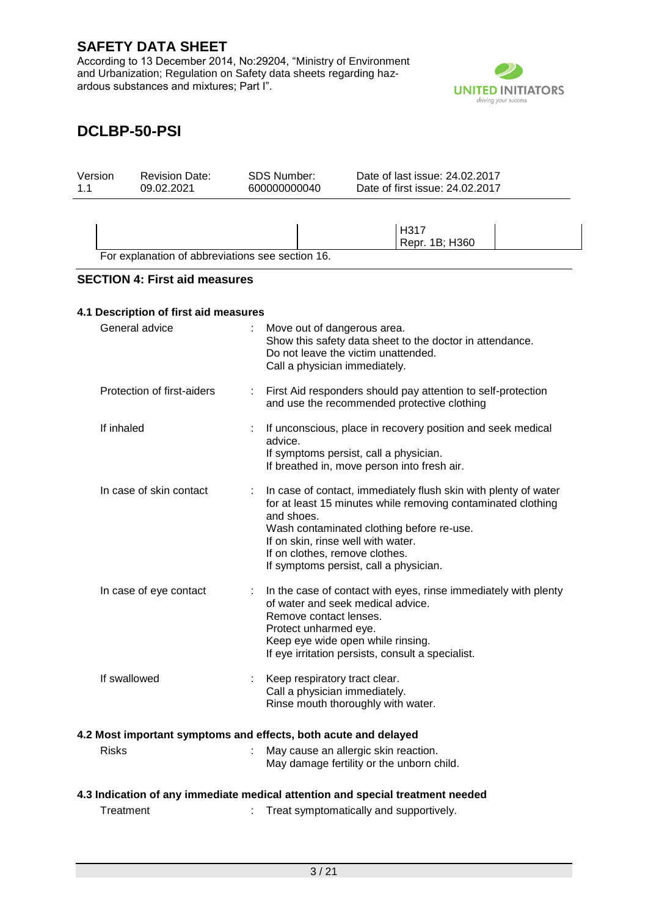According to 13 December 2014, No:29204, "Ministry of Environment and Urbanization; Regulation on Safety data sheets regarding hazardous substances and mixtures; Part I".



| Version<br>1.1 |                | <b>Revision Date:</b><br>09.02.2021                                            |   | <b>SDS Number:</b><br>600000000040 |                                                                                                                           | Date of last issue: 24.02.2017<br>Date of first issue: 24.02.2017                                                                                                            |  |
|----------------|----------------|--------------------------------------------------------------------------------|---|------------------------------------|---------------------------------------------------------------------------------------------------------------------------|------------------------------------------------------------------------------------------------------------------------------------------------------------------------------|--|
|                |                |                                                                                |   |                                    |                                                                                                                           |                                                                                                                                                                              |  |
|                |                | For explanation of abbreviations see section 16.                               |   |                                    |                                                                                                                           | H317<br>Repr. 1B; H360                                                                                                                                                       |  |
|                |                |                                                                                |   |                                    |                                                                                                                           |                                                                                                                                                                              |  |
|                |                | <b>SECTION 4: First aid measures</b>                                           |   |                                    |                                                                                                                           |                                                                                                                                                                              |  |
|                |                | 4.1 Description of first aid measures                                          |   |                                    |                                                                                                                           |                                                                                                                                                                              |  |
|                | General advice |                                                                                |   |                                    | Move out of dangerous area.<br>Do not leave the victim unattended.<br>Call a physician immediately.                       | Show this safety data sheet to the doctor in attendance.                                                                                                                     |  |
|                |                | Protection of first-aiders                                                     | ÷ |                                    |                                                                                                                           | First Aid responders should pay attention to self-protection<br>and use the recommended protective clothing                                                                  |  |
|                | If inhaled     |                                                                                |   | advice.                            | If symptoms persist, call a physician.                                                                                    | If unconscious, place in recovery position and seek medical<br>If breathed in, move person into fresh air.                                                                   |  |
|                |                | In case of skin contact                                                        |   | and shoes.                         | If on skin, rinse well with water.<br>If on clothes, remove clothes.<br>If symptoms persist, call a physician.            | In case of contact, immediately flush skin with plenty of water<br>for at least 15 minutes while removing contaminated clothing<br>Wash contaminated clothing before re-use. |  |
|                |                | In case of eye contact                                                         |   |                                    | of water and seek medical advice.<br>Remove contact lenses.<br>Protect unharmed eye.<br>Keep eye wide open while rinsing. | In the case of contact with eyes, rinse immediately with plenty<br>If eye irritation persists, consult a specialist.                                                         |  |
|                | If swallowed   |                                                                                |   |                                    | Keep respiratory tract clear.<br>Call a physician immediately.<br>Rinse mouth thoroughly with water.                      |                                                                                                                                                                              |  |
|                |                | 4.2 Most important symptoms and effects, both acute and delayed                |   |                                    |                                                                                                                           |                                                                                                                                                                              |  |
|                | <b>Risks</b>   |                                                                                |   |                                    | May cause an allergic skin reaction.                                                                                      | May damage fertility or the unborn child.                                                                                                                                    |  |
|                |                | 4.3 Indication of any immediate medical attention and special treatment needed |   |                                    |                                                                                                                           |                                                                                                                                                                              |  |
|                | Treatment      |                                                                                |   |                                    |                                                                                                                           | Treat symptomatically and supportively.                                                                                                                                      |  |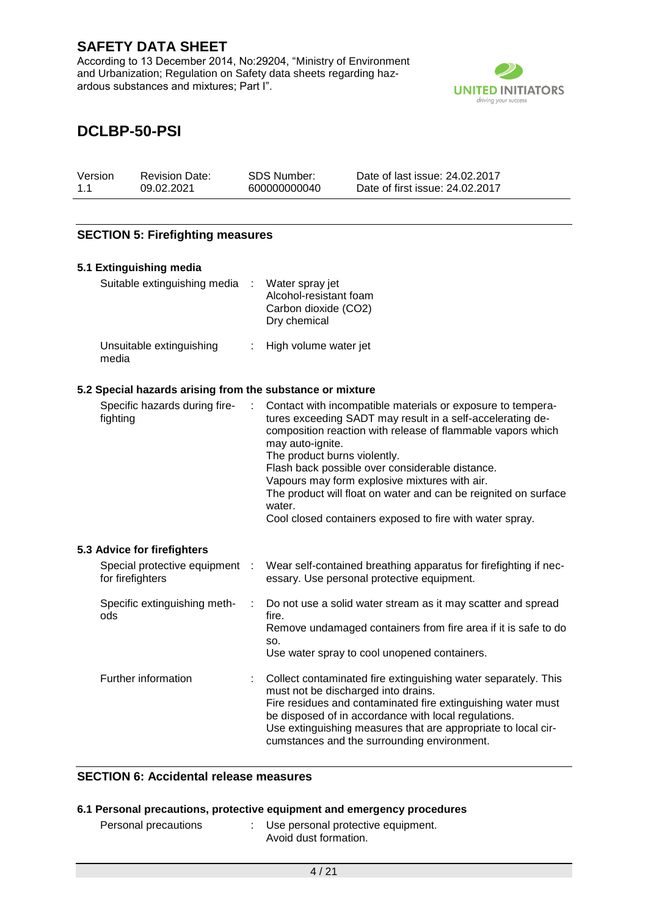According to 13 December 2014, No:29204, "Ministry of Environment and Urbanization; Regulation on Safety data sheets regarding hazardous substances and mixtures; Part I".



# **DCLBP-50-PSI**

| Version | <b>Revision Date:</b> | SDS Number:  | Date of last issue: 24,02,2017  |
|---------|-----------------------|--------------|---------------------------------|
| 1.1     | 09.02.2021            | 600000000040 | Date of first issue: 24.02.2017 |

### **SECTION 5: Firefighting measures**

| 5.1 Extinguishing media                                   |   |                                                                                                                                                                                                                                                                                                                                                                                                                                                                                           |
|-----------------------------------------------------------|---|-------------------------------------------------------------------------------------------------------------------------------------------------------------------------------------------------------------------------------------------------------------------------------------------------------------------------------------------------------------------------------------------------------------------------------------------------------------------------------------------|
| Suitable extinguishing media                              |   | Water spray jet<br>Alcohol-resistant foam<br>Carbon dioxide (CO2)<br>Dry chemical                                                                                                                                                                                                                                                                                                                                                                                                         |
| Unsuitable extinguishing<br>media                         |   | High volume water jet                                                                                                                                                                                                                                                                                                                                                                                                                                                                     |
| 5.2 Special hazards arising from the substance or mixture |   |                                                                                                                                                                                                                                                                                                                                                                                                                                                                                           |
| Specific hazards during fire-<br>fighting                 |   | Contact with incompatible materials or exposure to tempera-<br>tures exceeding SADT may result in a self-accelerating de-<br>composition reaction with release of flammable vapors which<br>may auto-ignite.<br>The product burns violently.<br>Flash back possible over considerable distance.<br>Vapours may form explosive mixtures with air.<br>The product will float on water and can be reignited on surface<br>water.<br>Cool closed containers exposed to fire with water spray. |
| 5.3 Advice for firefighters                               |   |                                                                                                                                                                                                                                                                                                                                                                                                                                                                                           |
| Special protective equipment<br>for firefighters          |   | Wear self-contained breathing apparatus for firefighting if nec-<br>essary. Use personal protective equipment.                                                                                                                                                                                                                                                                                                                                                                            |
| Specific extinguishing meth-<br>ods                       |   | Do not use a solid water stream as it may scatter and spread<br>fire.<br>Remove undamaged containers from fire area if it is safe to do<br>SO.<br>Use water spray to cool unopened containers.                                                                                                                                                                                                                                                                                            |
| Further information                                       | t | Collect contaminated fire extinguishing water separately. This<br>must not be discharged into drains.<br>Fire residues and contaminated fire extinguishing water must<br>be disposed of in accordance with local regulations.<br>Use extinguishing measures that are appropriate to local cir-<br>cumstances and the surrounding environment.                                                                                                                                             |

#### **SECTION 6: Accidental release measures**

#### **6.1 Personal precautions, protective equipment and emergency procedures**

| Personal precautions | : Use personal protective equipment. |
|----------------------|--------------------------------------|
|                      | Avoid dust formation.                |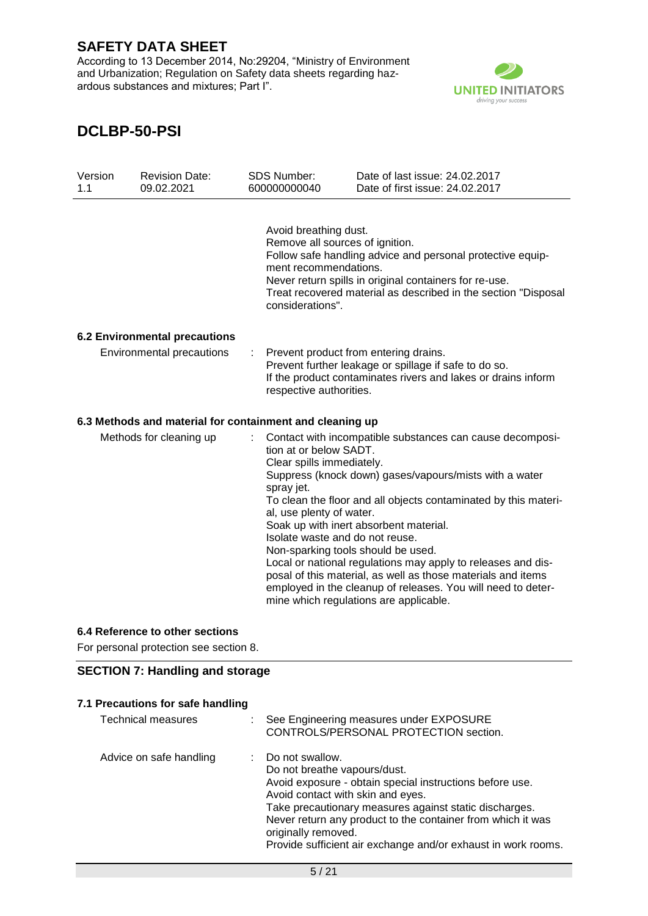According to 13 December 2014, No:29204, "Ministry of Environment and Urbanization; Regulation on Safety data sheets regarding hazardous substances and mixtures; Part I".



# **DCLBP-50-PSI**

| Version<br>1.1 | <b>Revision Date:</b><br>09.02.2021                                       |    | <b>SDS Number:</b><br>600000000040                                                                                                                                                         | Date of last issue: 24.02.2017<br>Date of first issue: 24.02.2017                                                                                                                                                                                                                                                                                                                                                                                                          |
|----------------|---------------------------------------------------------------------------|----|--------------------------------------------------------------------------------------------------------------------------------------------------------------------------------------------|----------------------------------------------------------------------------------------------------------------------------------------------------------------------------------------------------------------------------------------------------------------------------------------------------------------------------------------------------------------------------------------------------------------------------------------------------------------------------|
|                |                                                                           |    | Avoid breathing dust.<br>Remove all sources of ignition.<br>ment recommendations.<br>considerations".                                                                                      | Follow safe handling advice and personal protective equip-<br>Never return spills in original containers for re-use.<br>Treat recovered material as described in the section "Disposal                                                                                                                                                                                                                                                                                     |
|                | <b>6.2 Environmental precautions</b>                                      |    |                                                                                                                                                                                            |                                                                                                                                                                                                                                                                                                                                                                                                                                                                            |
|                | Environmental precautions                                                 | ÷. | Prevent product from entering drains.<br>Prevent further leakage or spillage if safe to do so.<br>If the product contaminates rivers and lakes or drains inform<br>respective authorities. |                                                                                                                                                                                                                                                                                                                                                                                                                                                                            |
|                | 6.3 Methods and material for containment and cleaning up                  |    |                                                                                                                                                                                            |                                                                                                                                                                                                                                                                                                                                                                                                                                                                            |
|                | Methods for cleaning up                                                   |    | tion at or below SADT.<br>Clear spills immediately.<br>spray jet.<br>al, use plenty of water.<br>Isolate waste and do not reuse.<br>Non-sparking tools should be used.                     | Contact with incompatible substances can cause decomposi-<br>Suppress (knock down) gases/vapours/mists with a water<br>To clean the floor and all objects contaminated by this materi-<br>Soak up with inert absorbent material.<br>Local or national regulations may apply to releases and dis-<br>posal of this material, as well as those materials and items<br>employed in the cleanup of releases. You will need to deter-<br>mine which regulations are applicable. |
|                | 6.4 Reference to other sections<br>For personal protection see section 8. |    |                                                                                                                                                                                            |                                                                                                                                                                                                                                                                                                                                                                                                                                                                            |

### **SECTION 7: Handling and storage**

### **7.1 Precautions for safe handling**

| Technical measures      | : See Engineering measures under EXPOSURE<br>CONTROLS/PERSONAL PROTECTION section.                                                                                                                                                                                                                                                                                  |
|-------------------------|---------------------------------------------------------------------------------------------------------------------------------------------------------------------------------------------------------------------------------------------------------------------------------------------------------------------------------------------------------------------|
| Advice on safe handling | : Do not swallow.<br>Do not breathe vapours/dust.<br>Avoid exposure - obtain special instructions before use.<br>Avoid contact with skin and eyes.<br>Take precautionary measures against static discharges.<br>Never return any product to the container from which it was<br>originally removed.<br>Provide sufficient air exchange and/or exhaust in work rooms. |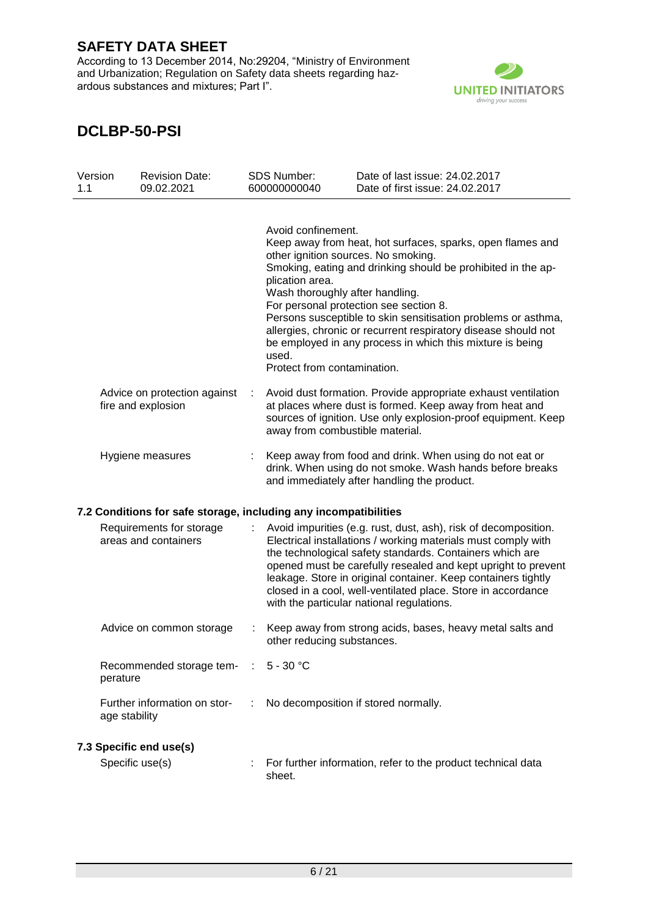According to 13 December 2014, No:29204, "Ministry of Environment and Urbanization; Regulation on Safety data sheets regarding hazardous substances and mixtures; Part I".



| Version<br>1.1 | <b>Revision Date:</b><br>09.02.2021                              |   | <b>SDS Number:</b><br>600000000040                                                                                                                      | Date of last issue: 24.02.2017<br>Date of first issue: 24.02.2017                                                                                                                                                                                                                                                                                                                                                                           |
|----------------|------------------------------------------------------------------|---|---------------------------------------------------------------------------------------------------------------------------------------------------------|---------------------------------------------------------------------------------------------------------------------------------------------------------------------------------------------------------------------------------------------------------------------------------------------------------------------------------------------------------------------------------------------------------------------------------------------|
|                |                                                                  |   | Avoid confinement.<br>other ignition sources. No smoking.<br>plication area.<br>Wash thoroughly after handling.<br>used.<br>Protect from contamination. | Keep away from heat, hot surfaces, sparks, open flames and<br>Smoking, eating and drinking should be prohibited in the ap-<br>For personal protection see section 8.<br>Persons susceptible to skin sensitisation problems or asthma,<br>allergies, chronic or recurrent respiratory disease should not<br>be employed in any process in which this mixture is being                                                                        |
|                | Advice on protection against<br>fire and explosion               | ÷ | away from combustible material.                                                                                                                         | Avoid dust formation. Provide appropriate exhaust ventilation<br>at places where dust is formed. Keep away from heat and<br>sources of ignition. Use only explosion-proof equipment. Keep                                                                                                                                                                                                                                                   |
|                | Hygiene measures                                                 |   |                                                                                                                                                         | Keep away from food and drink. When using do not eat or<br>drink. When using do not smoke. Wash hands before breaks<br>and immediately after handling the product.                                                                                                                                                                                                                                                                          |
|                | 7.2 Conditions for safe storage, including any incompatibilities |   |                                                                                                                                                         |                                                                                                                                                                                                                                                                                                                                                                                                                                             |
|                | Requirements for storage<br>areas and containers                 |   |                                                                                                                                                         | Avoid impurities (e.g. rust, dust, ash), risk of decomposition.<br>Electrical installations / working materials must comply with<br>the technological safety standards. Containers which are<br>opened must be carefully resealed and kept upright to prevent<br>leakage. Store in original container. Keep containers tightly<br>closed in a cool, well-ventilated place. Store in accordance<br>with the particular national regulations. |
|                | Advice on common storage                                         |   | other reducing substances.                                                                                                                              | Keep away from strong acids, bases, heavy metal salts and                                                                                                                                                                                                                                                                                                                                                                                   |
|                | Recommended storage tem-<br>perature                             |   | $\therefore$ 5 - 30 °C                                                                                                                                  |                                                                                                                                                                                                                                                                                                                                                                                                                                             |
|                | Further information on stor-<br>age stability                    |   |                                                                                                                                                         | No decomposition if stored normally.                                                                                                                                                                                                                                                                                                                                                                                                        |
|                | 7.3 Specific end use(s)<br>Specific use(s)                       |   | sheet.                                                                                                                                                  | For further information, refer to the product technical data                                                                                                                                                                                                                                                                                                                                                                                |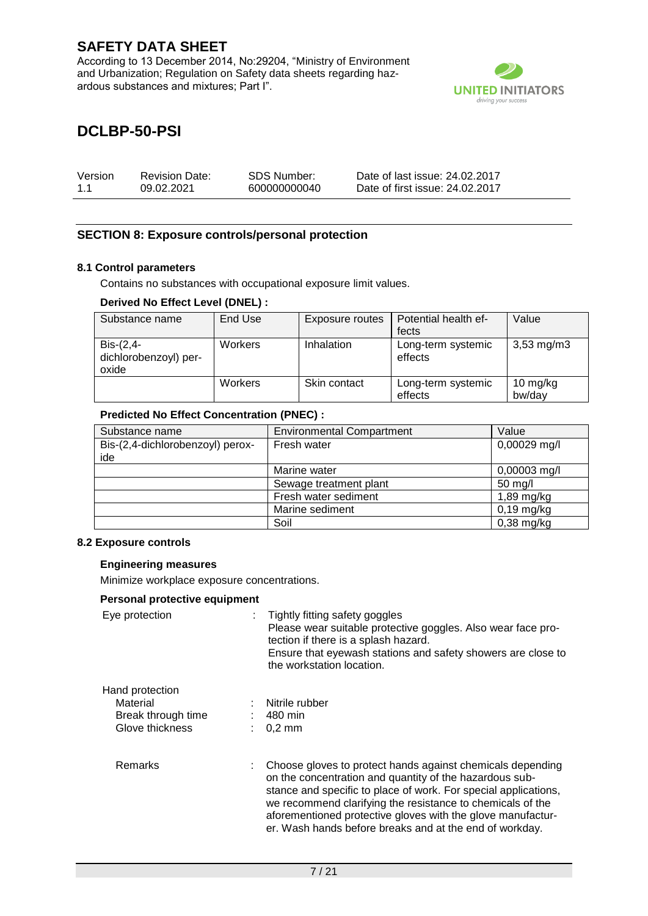According to 13 December 2014, No:29204, "Ministry of Environment and Urbanization; Regulation on Safety data sheets regarding hazardous substances and mixtures; Part I".



# **DCLBP-50-PSI**

| Version | <b>Revision Date:</b> | SDS Number:  | Date of last issue: 24.02.2017  |
|---------|-----------------------|--------------|---------------------------------|
| 1.1     | 09.02.2021            | 600000000040 | Date of first issue: 24,02,2017 |

### **SECTION 8: Exposure controls/personal protection**

#### **8.1 Control parameters**

Contains no substances with occupational exposure limit values.

#### **Derived No Effect Level (DNEL) :**

| Substance name                                | End Use | Exposure routes   | Potential health ef-          | Value                 |
|-----------------------------------------------|---------|-------------------|-------------------------------|-----------------------|
|                                               |         |                   | fects                         |                       |
| $Dis-(2,4-$<br>dichlorobenzoyl) per-<br>oxide | Workers | <b>Inhalation</b> | Long-term systemic<br>effects | $3,53 \, \text{mg/m}$ |
|                                               | Workers | Skin contact      | Long-term systemic<br>effects | 10 mg/kg<br>bw/day    |

#### **Predicted No Effect Concentration (PNEC) :**

| Substance name                   | <b>Environmental Compartment</b> | Value        |
|----------------------------------|----------------------------------|--------------|
| Bis-(2,4-dichlorobenzoyl) perox- | Fresh water                      | 0,00029 mg/l |
| ide                              |                                  |              |
|                                  | Marine water                     | 0,00003 mg/l |
|                                  | Sewage treatment plant           | 50 mg/l      |
|                                  | Fresh water sediment             | 1,89 mg/kg   |
|                                  | Marine sediment                  | $0,19$ mg/kg |
|                                  | Soil                             | $0,38$ mg/kg |

#### **8.2 Exposure controls**

#### **Engineering measures**

Minimize workplace exposure concentrations.

#### **Personal protective equipment**

| relation protective equipment                                        |                                                                                                                                                                                                                                                                                                                                                                                  |
|----------------------------------------------------------------------|----------------------------------------------------------------------------------------------------------------------------------------------------------------------------------------------------------------------------------------------------------------------------------------------------------------------------------------------------------------------------------|
| Eye protection                                                       | Tightly fitting safety goggles<br>Please wear suitable protective goggles. Also wear face pro-<br>tection if there is a splash hazard.<br>Ensure that eyewash stations and safety showers are close to<br>the workstation location.                                                                                                                                              |
| Hand protection<br>Material<br>Break through time<br>Glove thickness | Nitrile rubber<br>– 480 min<br>$0.2 \text{ mm}$                                                                                                                                                                                                                                                                                                                                  |
| Remarks                                                              | Choose gloves to protect hands against chemicals depending<br>on the concentration and quantity of the hazardous sub-<br>stance and specific to place of work. For special applications,<br>we recommend clarifying the resistance to chemicals of the<br>aforementioned protective gloves with the glove manufactur-<br>er. Wash hands before breaks and at the end of workday. |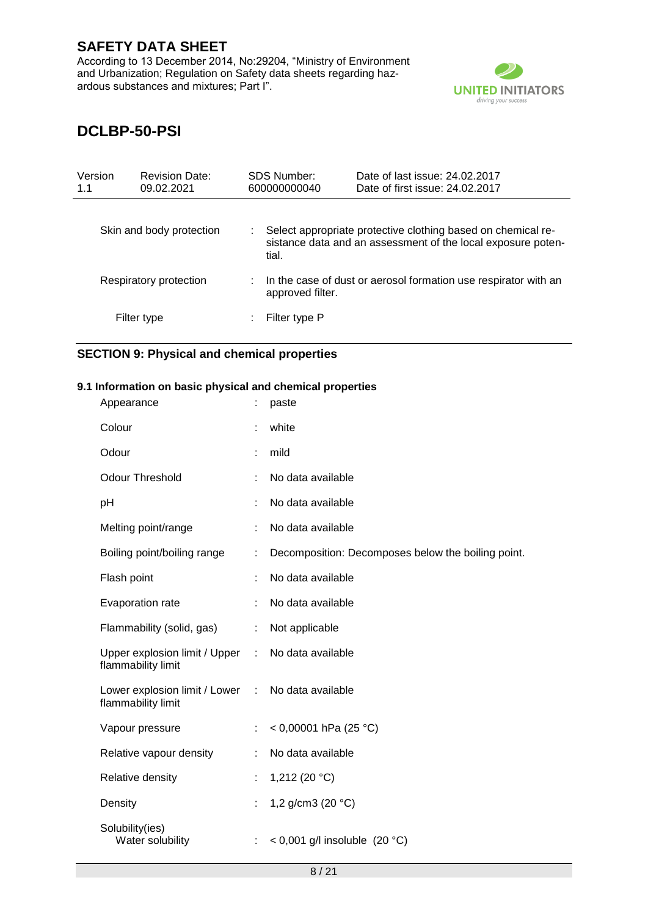According to 13 December 2014, No:29204, "Ministry of Environment and Urbanization; Regulation on Safety data sheets regarding hazardous substances and mixtures; Part I".



# **DCLBP-50-PSI**

| Version<br>1.1 | <b>Revision Date:</b><br>09.02.2021 | <b>SDS Number:</b><br>600000000040 | Date of last issue: 24,02,2017<br>Date of first issue: 24,02,2017                                                            |
|----------------|-------------------------------------|------------------------------------|------------------------------------------------------------------------------------------------------------------------------|
|                | Skin and body protection            | tial.                              | Select appropriate protective clothing based on chemical re-<br>sistance data and an assessment of the local exposure poten- |
|                | Respiratory protection              | approved filter.                   | In the case of dust or aerosol formation use respirator with an                                                              |
|                | Filter type                         | Filter type P                      |                                                                                                                              |

### **SECTION 9: Physical and chemical properties**

#### **9.1 Information on basic physical and chemical properties**

| Appearance                                            |   | paste                                              |
|-------------------------------------------------------|---|----------------------------------------------------|
| Colour                                                |   | white                                              |
| Odour                                                 |   | mild                                               |
| <b>Odour Threshold</b>                                |   | No data available                                  |
| pH                                                    |   | No data available                                  |
| Melting point/range                                   |   | No data available                                  |
| Boiling point/boiling range                           | ÷ | Decomposition: Decomposes below the boiling point. |
| Flash point                                           |   | No data available                                  |
| Evaporation rate                                      |   | No data available                                  |
| Flammability (solid, gas)                             | ÷ | Not applicable                                     |
| Upper explosion limit / Upper :<br>flammability limit |   | No data available                                  |
| Lower explosion limit / Lower :<br>flammability limit |   | No data available                                  |
| Vapour pressure                                       |   | < 0,00001 hPa (25 °C)                              |
| Relative vapour density                               | ÷ | No data available                                  |
| Relative density                                      |   | 1,212 (20 °C)                                      |
| Density                                               |   | 1,2 g/cm3 (20 °C)                                  |
| Solubility(ies)<br>Water solubility                   | ÷ | < 0,001 g/l insoluble $(20 °C)$                    |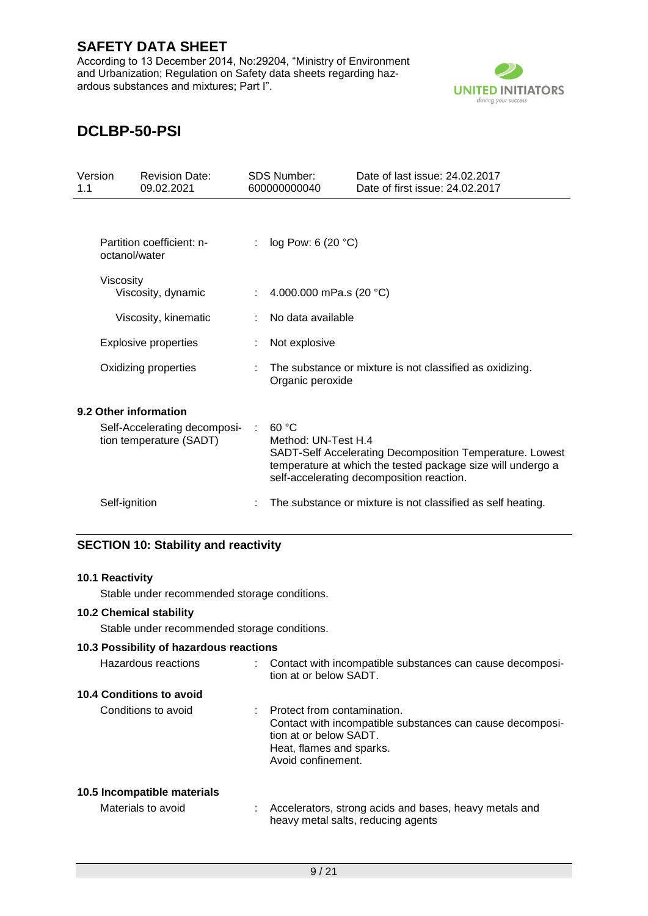According to 13 December 2014, No:29204, "Ministry of Environment and Urbanization; Regulation on Safety data sheets regarding hazardous substances and mixtures; Part I".



# **DCLBP-50-PSI**

| Version<br>1.1 | <b>Revision Date:</b><br>09.02.2021                     | <b>SDS Number:</b><br>600000000040 | Date of last issue: 24,02,2017<br>Date of first issue: 24.02.2017                                                                                                    |
|----------------|---------------------------------------------------------|------------------------------------|----------------------------------------------------------------------------------------------------------------------------------------------------------------------|
|                | Partition coefficient: n-<br>octanol/water              | log Pow: 6 (20 °C)                 |                                                                                                                                                                      |
|                | Viscosity<br>Viscosity, dynamic                         | 4.000.000 mPa.s (20 °C)            |                                                                                                                                                                      |
|                | Viscosity, kinematic                                    | No data available                  |                                                                                                                                                                      |
|                | <b>Explosive properties</b>                             | Not explosive                      |                                                                                                                                                                      |
|                | Oxidizing properties                                    | Organic peroxide                   | The substance or mixture is not classified as oxidizing.                                                                                                             |
|                | 9.2 Other information                                   |                                    |                                                                                                                                                                      |
|                | Self-Accelerating decomposi-<br>tion temperature (SADT) | 60 °C<br>Method: UN-Test H.4       | SADT-Self Accelerating Decomposition Temperature. Lowest<br>temperature at which the tested package size will undergo a<br>self-accelerating decomposition reaction. |
|                | Self-ignition                                           |                                    | The substance or mixture is not classified as self heating.                                                                                                          |

### **SECTION 10: Stability and reactivity**

#### **10.1 Reactivity**

Stable under recommended storage conditions.

### **10.2 Chemical stability**

Stable under recommended storage conditions.

#### **10.3 Possibility of hazardous reactions**

| Hazardous reactions      | : Contact with incompatible substances can cause decomposi-<br>tion at or below SADT.                                                                                |
|--------------------------|----------------------------------------------------------------------------------------------------------------------------------------------------------------------|
| 10.4 Conditions to avoid |                                                                                                                                                                      |
| Conditions to avoid      | Protect from contamination.<br>Contact with incompatible substances can cause decomposi-<br>tion at or below SADT.<br>Heat, flames and sparks.<br>Avoid confinement. |

### **10.5 Incompatible materials**

| Materials to avoid | Accelerators, strong acids and bases, heavy metals and |
|--------------------|--------------------------------------------------------|
|                    | heavy metal salts, reducing agents                     |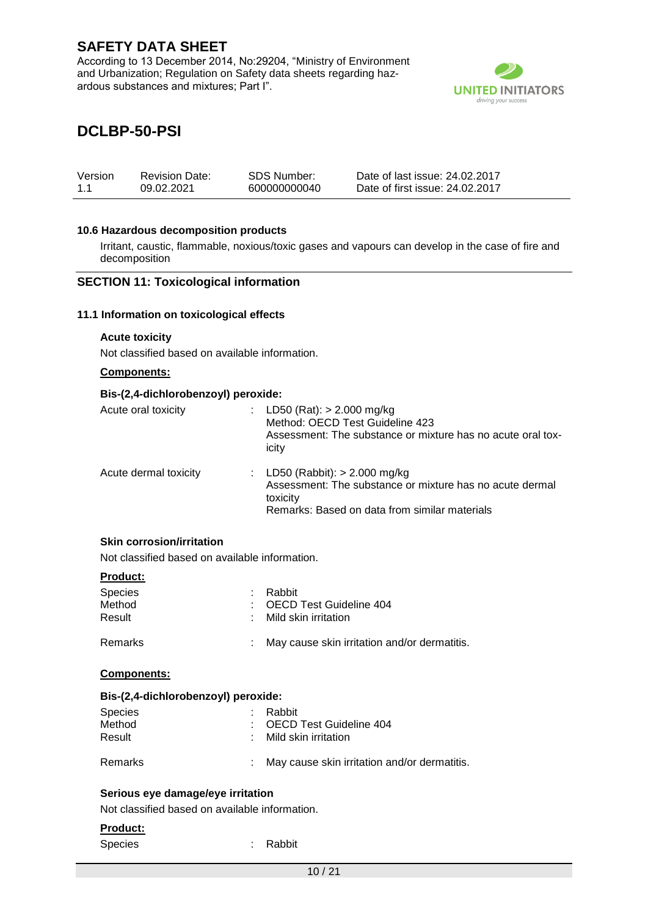According to 13 December 2014, No:29204, "Ministry of Environment and Urbanization; Regulation on Safety data sheets regarding hazardous substances and mixtures; Part I".



## **DCLBP-50-PSI**

| Version | <b>Revision Date:</b> | SDS Number:  | Date of last issue: 24.02.2017  |
|---------|-----------------------|--------------|---------------------------------|
| 11      | 09.02.2021            | 600000000040 | Date of first issue: 24.02.2017 |

#### **10.6 Hazardous decomposition products**

Irritant, caustic, flammable, noxious/toxic gases and vapours can develop in the case of fire and decomposition

#### **SECTION 11: Toxicological information**

#### **11.1 Information on toxicological effects**

#### **Acute toxicity**

Not classified based on available information.

#### **Components:**

#### **Bis-(2,4-dichlorobenzoyl) peroxide:**

| Acute oral toxicity   | LD50 (Rat): $> 2.000$ mg/kg<br>Method: OECD Test Guideline 423<br>Assessment: The substance or mixture has no acute oral tox-<br>icity                    |
|-----------------------|-----------------------------------------------------------------------------------------------------------------------------------------------------------|
| Acute dermal toxicity | : LD50 (Rabbit): $> 2.000$ mg/kg<br>Assessment: The substance or mixture has no acute dermal<br>toxicity<br>Remarks: Based on data from similar materials |

### **Skin corrosion/irritation**

Not classified based on available information.

#### **Product:**

| Species<br>Method<br>Result | Rabbit<br>: OECD Test Guideline 404<br>: Mild skin irritation |
|-----------------------------|---------------------------------------------------------------|
| Remarks                     | May cause skin irritation and/or dermatitis.                  |

#### **Components:**

#### **Bis-(2,4-dichlorobenzoyl) peroxide:**

| <b>Species</b> | : Rabbit                                     |
|----------------|----------------------------------------------|
| Method         | : OECD Test Guideline 404                    |
| Result         | : Mild skin irritation                       |
| Remarks        | May cause skin irritation and/or dermatitis. |

#### **Serious eye damage/eye irritation**

Not classified based on available information.

#### **Product:**

Species : Rabbit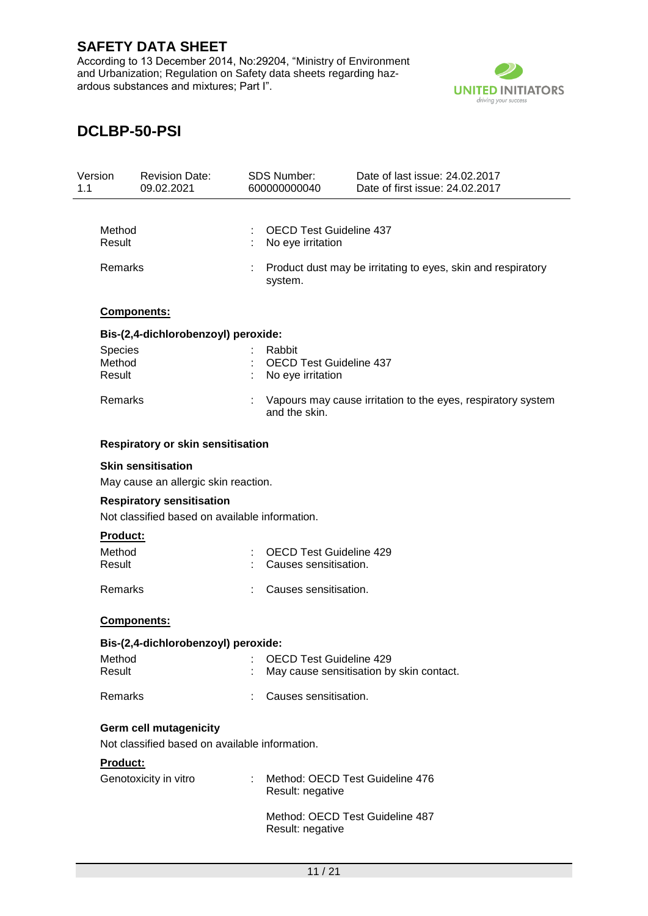According to 13 December 2014, No:29204, "Ministry of Environment and Urbanization; Regulation on Safety data sheets regarding hazardous substances and mixtures; Part I".



| 1.1 | Version          | <b>Revision Date:</b><br>09.02.2021                                                | SDS Number:<br>600000000040                         | Date of last issue: 24.02.2017<br>Date of first issue: 24.02.2017 |  |
|-----|------------------|------------------------------------------------------------------------------------|-----------------------------------------------------|-------------------------------------------------------------------|--|
|     |                  |                                                                                    |                                                     |                                                                   |  |
|     | Method<br>Result |                                                                                    | <b>OECD Test Guideline 437</b><br>No eye irritation |                                                                   |  |
|     | Remarks          |                                                                                    | system.                                             | Product dust may be irritating to eyes, skin and respiratory      |  |
|     |                  | Components:                                                                        |                                                     |                                                                   |  |
|     |                  | Bis-(2,4-dichlorobenzoyl) peroxide:                                                |                                                     |                                                                   |  |
|     | <b>Species</b>   |                                                                                    | Rabbit                                              |                                                                   |  |
|     | Method           |                                                                                    | <b>OECD Test Guideline 437</b>                      |                                                                   |  |
|     | Result           |                                                                                    | No eye irritation                                   |                                                                   |  |
|     | Remarks          |                                                                                    | and the skin.                                       | Vapours may cause irritation to the eyes, respiratory system      |  |
|     |                  | <b>Respiratory or skin sensitisation</b>                                           |                                                     |                                                                   |  |
|     |                  | <b>Skin sensitisation</b><br>May cause an allergic skin reaction.                  |                                                     |                                                                   |  |
|     |                  | <b>Respiratory sensitisation</b><br>Not classified based on available information. |                                                     |                                                                   |  |
|     | Product:         |                                                                                    |                                                     |                                                                   |  |
|     | Method           |                                                                                    | <b>OECD Test Guideline 429</b>                      |                                                                   |  |
|     | Result           |                                                                                    | Causes sensitisation.                               |                                                                   |  |
|     | Remarks          |                                                                                    | Causes sensitisation.                               |                                                                   |  |
|     |                  | Components:                                                                        |                                                     |                                                                   |  |
|     |                  | Bis-(2,4-dichlorobenzoyl) peroxide:                                                |                                                     |                                                                   |  |
|     | Method           |                                                                                    | <b>EXAMPLE 19 SECO Test Guideline 429</b>           |                                                                   |  |
|     | Result           |                                                                                    |                                                     | May cause sensitisation by skin contact.                          |  |
|     | Remarks          |                                                                                    | Causes sensitisation.                               |                                                                   |  |
|     |                  | <b>Germ cell mutagenicity</b>                                                      |                                                     |                                                                   |  |
|     |                  | Not classified based on available information.                                     |                                                     |                                                                   |  |
|     | <b>Product:</b>  |                                                                                    |                                                     |                                                                   |  |
|     |                  | Genotoxicity in vitro                                                              | Result: negative                                    | Method: OECD Test Guideline 476                                   |  |
|     |                  |                                                                                    | Result: negative                                    | Method: OECD Test Guideline 487                                   |  |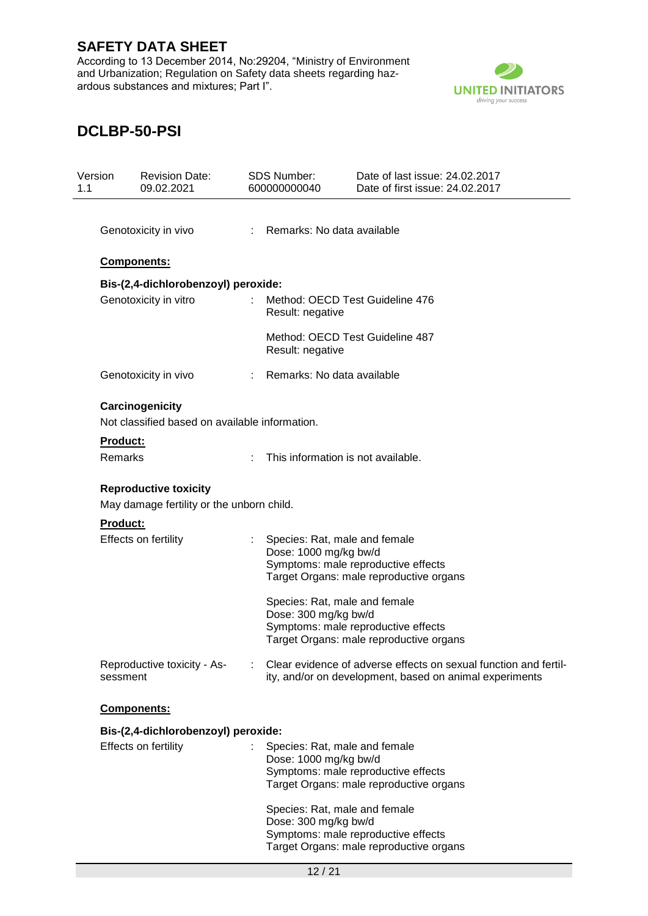According to 13 December 2014, No:29204, "Ministry of Environment and Urbanization; Regulation on Safety data sheets regarding hazardous substances and mixtures; Part I".



| Version<br>1.1 |                      | <b>Revision Date:</b><br>09.02.2021            |                              | <b>SDS Number:</b><br>600000000040                     | Date of last issue: 24.02.2017<br>Date of first issue: 24.02.2017                                                           |  |
|----------------|----------------------|------------------------------------------------|------------------------------|--------------------------------------------------------|-----------------------------------------------------------------------------------------------------------------------------|--|
|                |                      |                                                |                              |                                                        |                                                                                                                             |  |
|                | Genotoxicity in vivo |                                                | : Remarks: No data available |                                                        |                                                                                                                             |  |
|                |                      | Components:                                    |                              |                                                        |                                                                                                                             |  |
|                |                      | Bis-(2,4-dichlorobenzoyl) peroxide:            |                              |                                                        |                                                                                                                             |  |
|                |                      | Genotoxicity in vitro                          |                              | Result: negative                                       | Method: OECD Test Guideline 476                                                                                             |  |
|                |                      |                                                |                              | Method: OECD Test Guideline 487<br>Result: negative    |                                                                                                                             |  |
|                |                      | Genotoxicity in vivo                           |                              | Remarks: No data available                             |                                                                                                                             |  |
|                |                      | Carcinogenicity                                |                              |                                                        |                                                                                                                             |  |
|                |                      | Not classified based on available information. |                              |                                                        |                                                                                                                             |  |
|                | Product:             |                                                |                              |                                                        |                                                                                                                             |  |
|                | Remarks              |                                                |                              | This information is not available.                     |                                                                                                                             |  |
|                |                      | <b>Reproductive toxicity</b>                   |                              |                                                        |                                                                                                                             |  |
|                |                      | May damage fertility or the unborn child.      |                              |                                                        |                                                                                                                             |  |
|                | <b>Product:</b>      |                                                |                              |                                                        |                                                                                                                             |  |
|                |                      | Effects on fertility                           |                              | Species: Rat, male and female<br>Dose: 1000 mg/kg bw/d |                                                                                                                             |  |
|                |                      |                                                |                              |                                                        | Symptoms: male reproductive effects<br>Target Organs: male reproductive organs                                              |  |
|                |                      |                                                |                              |                                                        |                                                                                                                             |  |
|                |                      |                                                |                              | Species: Rat, male and female<br>Dose: 300 mg/kg bw/d  |                                                                                                                             |  |
|                |                      |                                                |                              |                                                        | Symptoms: male reproductive effects                                                                                         |  |
|                |                      |                                                |                              |                                                        | Target Organs: male reproductive organs                                                                                     |  |
|                | sessment             | Reproductive toxicity - As-                    |                              |                                                        | Clear evidence of adverse effects on sexual function and fertil-<br>ity, and/or on development, based on animal experiments |  |
|                |                      | Components:                                    |                              |                                                        |                                                                                                                             |  |
|                |                      | Bis-(2,4-dichlorobenzoyl) peroxide:            |                              |                                                        |                                                                                                                             |  |
|                |                      | Effects on fertility                           |                              | Species: Rat, male and female                          |                                                                                                                             |  |
|                |                      |                                                |                              | Dose: 1000 mg/kg bw/d                                  | Symptoms: male reproductive effects                                                                                         |  |
|                |                      |                                                |                              |                                                        | Target Organs: male reproductive organs                                                                                     |  |
|                |                      |                                                |                              | Species: Rat, male and female                          |                                                                                                                             |  |
|                |                      |                                                |                              | Dose: 300 mg/kg bw/d                                   |                                                                                                                             |  |
|                |                      |                                                |                              |                                                        | Symptoms: male reproductive effects<br>Target Organs: male reproductive organs                                              |  |
|                |                      |                                                |                              | 12/21                                                  |                                                                                                                             |  |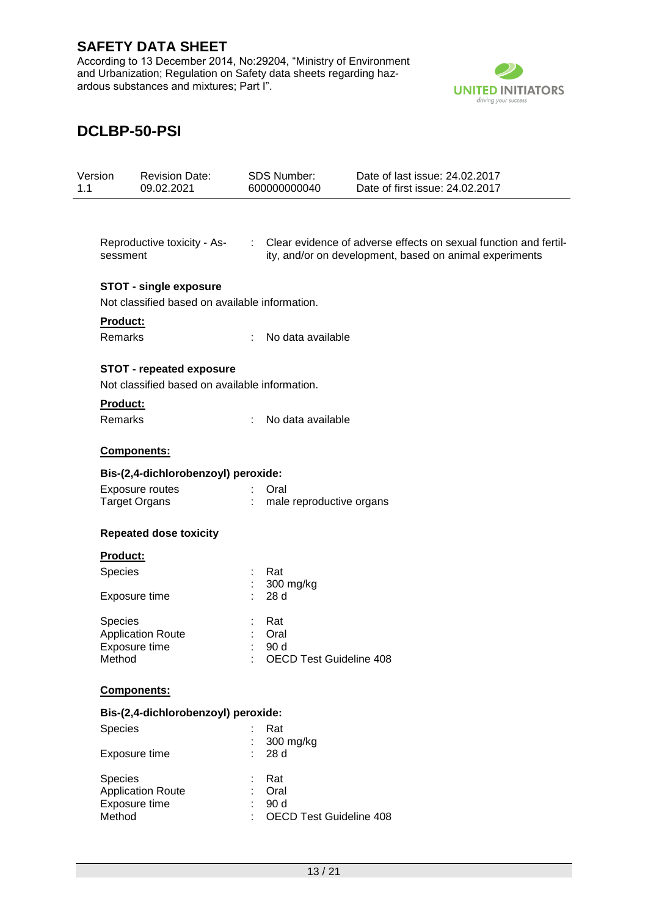According to 13 December 2014, No:29204, "Ministry of Environment and Urbanization; Regulation on Safety data sheets regarding hazardous substances and mixtures; Part I".



| Version<br>1.1 | <b>Revision Date:</b><br>09.02.2021            | <b>SDS Number:</b><br>600000000040     | Date of last issue: 24.02.2017<br>Date of first issue: 24.02.2017                                                             |
|----------------|------------------------------------------------|----------------------------------------|-------------------------------------------------------------------------------------------------------------------------------|
|                |                                                |                                        |                                                                                                                               |
|                | Reproductive toxicity - As-<br>sessment        |                                        | : Clear evidence of adverse effects on sexual function and fertil-<br>ity, and/or on development, based on animal experiments |
|                | <b>STOT - single exposure</b>                  |                                        |                                                                                                                               |
|                | Not classified based on available information. |                                        |                                                                                                                               |
|                | Product:                                       |                                        |                                                                                                                               |
|                | Remarks                                        | No data available<br>÷                 |                                                                                                                               |
|                | <b>STOT - repeated exposure</b>                |                                        |                                                                                                                               |
|                | Not classified based on available information. |                                        |                                                                                                                               |
|                | Product:                                       |                                        |                                                                                                                               |
|                | Remarks                                        | No data available<br>$\frac{1}{2}$     |                                                                                                                               |
|                | Components:                                    |                                        |                                                                                                                               |
|                | Bis-(2,4-dichlorobenzoyl) peroxide:            |                                        |                                                                                                                               |
|                | Exposure routes                                | Oral                                   |                                                                                                                               |
|                | <b>Target Organs</b>                           | ÷.<br>male reproductive organs         |                                                                                                                               |
|                | <b>Repeated dose toxicity</b>                  |                                        |                                                                                                                               |
|                | Product:                                       |                                        |                                                                                                                               |
|                | Species                                        | Rat                                    |                                                                                                                               |
|                |                                                | 300 mg/kg                              |                                                                                                                               |
|                | Exposure time                                  | 28 d                                   |                                                                                                                               |
|                | Species                                        | Rat                                    |                                                                                                                               |
|                | <b>Application Route</b>                       | Oral                                   |                                                                                                                               |
|                | Exposure time<br>Method                        | 90 d<br><b>OECD Test Guideline 408</b> |                                                                                                                               |
|                | Components:                                    |                                        |                                                                                                                               |
|                |                                                |                                        |                                                                                                                               |
|                | Bis-(2,4-dichlorobenzoyl) peroxide:            |                                        |                                                                                                                               |
|                | Species                                        | Rat<br>300 mg/kg                       |                                                                                                                               |
|                | Exposure time                                  | 28 d                                   |                                                                                                                               |
|                | Species                                        | Rat                                    |                                                                                                                               |
|                | <b>Application Route</b>                       | Oral                                   |                                                                                                                               |
|                | Exposure time<br>Method                        | 90 d<br><b>OECD Test Guideline 408</b> |                                                                                                                               |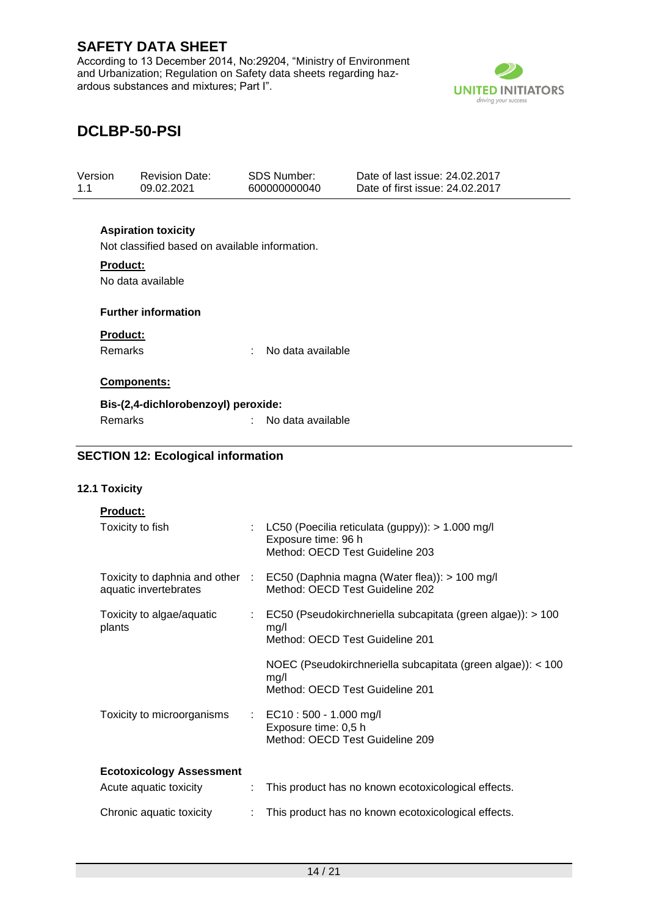According to 13 December 2014, No:29204, "Ministry of Environment and Urbanization; Regulation on Safety data sheets regarding hazardous substances and mixtures; Part I".



| Version<br>1.1  | <b>Revision Date:</b><br>09.02.2021            | <b>SDS Number:</b><br>600000000040 | Date of last issue: 24.02.2017<br>Date of first issue: 24.02.2017 |  |
|-----------------|------------------------------------------------|------------------------------------|-------------------------------------------------------------------|--|
|                 | <b>Aspiration toxicity</b>                     |                                    |                                                                   |  |
|                 | Not classified based on available information. |                                    |                                                                   |  |
| Product:        | No data available                              |                                    |                                                                   |  |
|                 | <b>Further information</b>                     |                                    |                                                                   |  |
| <b>Product:</b> |                                                |                                    |                                                                   |  |
| Remarks         |                                                | No data available<br>÷             |                                                                   |  |
|                 | Components:                                    |                                    |                                                                   |  |
|                 | Bis-(2,4-dichlorobenzoyl) peroxide:            |                                    |                                                                   |  |
| Remarks         |                                                | No data available<br>t.            |                                                                   |  |
|                 | <b>SECTION 12: Ecological information</b>      |                                    |                                                                   |  |
| 12.1 Toxicity   |                                                |                                    |                                                                   |  |
| <b>Product:</b> |                                                |                                    |                                                                   |  |
|                 | Toxicity to fish                               | ÷.                                 | LC50 (Poecilia reticulata (guppy)): > 1.000 mg/l                  |  |

|                                     | Exposure time: 96 h<br>Method: OECD Test Guideline 203                                                              |
|-------------------------------------|---------------------------------------------------------------------------------------------------------------------|
| aquatic invertebrates               | Toxicity to daphnia and other : EC50 (Daphnia magna (Water flea)): > 100 mg/l<br>Method: OECD Test Guideline 202    |
| Toxicity to algae/aquatic<br>plants | $\therefore$ EC50 (Pseudokirchneriella subcapitata (green algae)): > 100<br>mq/l<br>Method: OECD Test Guideline 201 |
|                                     | NOEC (Pseudokirchneriella subcapitata (green algae)): < 100<br>mq/l<br>Method: OECD Test Guideline 201              |
| Toxicity to microorganisms          | : EC10 : 500 - 1.000 mg/l<br>Exposure time: 0,5 h<br>Method: OECD Test Guideline 209                                |
| <b>Ecotoxicology Assessment</b>     |                                                                                                                     |
| Acute aquatic toxicity              | This product has no known ecotoxicological effects.                                                                 |
| Chronic aquatic toxicity            | This product has no known ecotoxicological effects.                                                                 |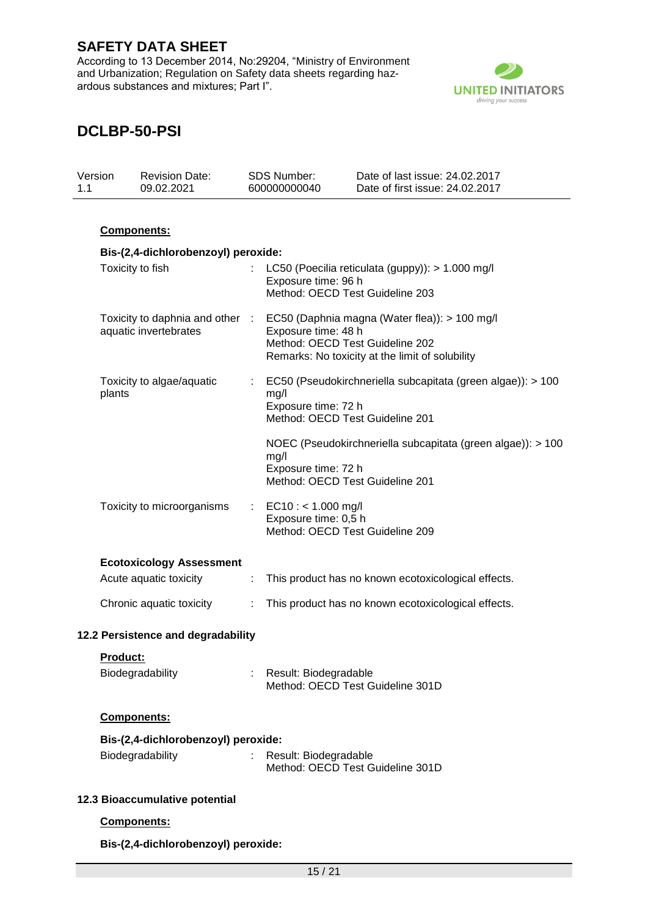According to 13 December 2014, No:29204, "Ministry of Environment and Urbanization; Regulation on Safety data sheets regarding hazardous substances and mixtures; Part I".



# **DCLBP-50-PSI**

| 1.1 | Version  | <b>Revision Date:</b><br>09.02.2021 |   | <b>SDS Number:</b><br>600000000040                                                                                                                                                         | Date of last issue: 24.02.2017<br>Date of first issue: 24.02.2017 |
|-----|----------|-------------------------------------|---|--------------------------------------------------------------------------------------------------------------------------------------------------------------------------------------------|-------------------------------------------------------------------|
|     |          |                                     |   |                                                                                                                                                                                            |                                                                   |
|     |          | Components:                         |   |                                                                                                                                                                                            |                                                                   |
|     |          | Bis-(2,4-dichlorobenzoyl) peroxide: |   |                                                                                                                                                                                            |                                                                   |
|     |          | Toxicity to fish                    |   | Exposure time: 96 h<br>Method: OECD Test Guideline 203                                                                                                                                     | LC50 (Poecilia reticulata (guppy)): > 1.000 mg/l                  |
|     |          | aquatic invertebrates               |   | Toxicity to daphnia and other : EC50 (Daphnia magna (Water flea)): > 100 mg/l<br>Exposure time: 48 h<br>Method: OECD Test Guideline 202<br>Remarks: No toxicity at the limit of solubility |                                                                   |
|     | plants   | Toxicity to algae/aquatic           |   | mg/l<br>Exposure time: 72 h<br>Method: OECD Test Guideline 201                                                                                                                             | EC50 (Pseudokirchneriella subcapitata (green algae)): > 100       |
|     |          |                                     |   | mg/l<br>Exposure time: 72 h<br>Method: OECD Test Guideline 201                                                                                                                             | NOEC (Pseudokirchneriella subcapitata (green algae)): > 100       |
|     |          | Toxicity to microorganisms          |   | $EC10: < 1.000$ mg/l<br>Exposure time: 0,5 h<br>Method: OECD Test Guideline 209                                                                                                            |                                                                   |
|     |          | <b>Ecotoxicology Assessment</b>     |   |                                                                                                                                                                                            |                                                                   |
|     |          | Acute aquatic toxicity              | ÷ |                                                                                                                                                                                            | This product has no known ecotoxicological effects.               |
|     |          | Chronic aquatic toxicity            | ÷ |                                                                                                                                                                                            | This product has no known ecotoxicological effects.               |
|     |          | 12.2 Persistence and degradability  |   |                                                                                                                                                                                            |                                                                   |
|     | Product: |                                     |   |                                                                                                                                                                                            |                                                                   |
|     |          | Biodegradability                    |   | : Result: Biodegradable                                                                                                                                                                    | Method: OECD Test Guideline 301D                                  |
|     |          | Components:                         |   |                                                                                                                                                                                            |                                                                   |
|     |          | Bis-(2,4-dichlorobenzoyl) peroxide: |   |                                                                                                                                                                                            |                                                                   |
|     |          | Biodegradability                    |   | Result: Biodegradable<br>Method: OECD Test Guideline 301D                                                                                                                                  |                                                                   |
|     |          | 12.3 Bioaccumulative potential      |   |                                                                                                                                                                                            |                                                                   |
|     |          | Components:                         |   |                                                                                                                                                                                            |                                                                   |

**Bis-(2,4-dichlorobenzoyl) peroxide:**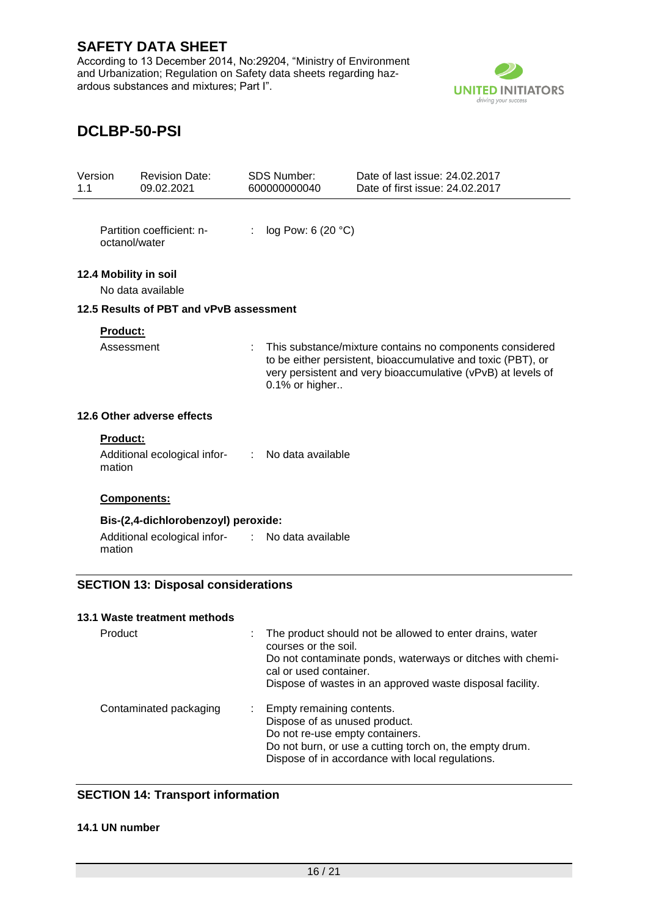According to 13 December 2014, No:29204, "Ministry of Environment and Urbanization; Regulation on Safety data sheets regarding hazardous substances and mixtures; Part I".



# **DCLBP-50-PSI**

| Version<br>1.1 |                               | <b>Revision Date:</b><br>09.02.2021                                                   |   | <b>SDS Number:</b><br>600000000040 | Date of last issue: 24.02.2017<br>Date of first issue: 24.02.2017                                                                                                                        |
|----------------|-------------------------------|---------------------------------------------------------------------------------------|---|------------------------------------|------------------------------------------------------------------------------------------------------------------------------------------------------------------------------------------|
|                | octanol/water                 | Partition coefficient: n-                                                             | ÷ | log Pow: 6 (20 °C)                 |                                                                                                                                                                                          |
|                |                               | 12.4 Mobility in soil<br>No data available<br>12.5 Results of PBT and vPvB assessment |   |                                    |                                                                                                                                                                                          |
|                |                               |                                                                                       |   |                                    |                                                                                                                                                                                          |
|                | <b>Product:</b><br>Assessment |                                                                                       |   | 0.1% or higher                     | This substance/mixture contains no components considered<br>to be either persistent, bioaccumulative and toxic (PBT), or<br>very persistent and very bioaccumulative (vPvB) at levels of |
|                |                               | 12.6 Other adverse effects                                                            |   |                                    |                                                                                                                                                                                          |
|                | <b>Product:</b><br>mation     | Additional ecological infor-                                                          |   | : No data available                |                                                                                                                                                                                          |
|                |                               | Components:                                                                           |   |                                    |                                                                                                                                                                                          |
|                |                               | Bis-(2,4-dichlorobenzoyl) peroxide:                                                   |   |                                    |                                                                                                                                                                                          |
|                | mation                        | Additional ecological infor-                                                          |   | : No data available                |                                                                                                                                                                                          |
|                |                               | <b>SECTION 13: Disposal considerations</b>                                            |   |                                    |                                                                                                                                                                                          |
|                |                               | 13.1 Waste treatment methods                                                          |   |                                    |                                                                                                                                                                                          |
|                | Product                       |                                                                                       |   | courses or the soil.               | The product should not be allowed to enter drains, water                                                                                                                                 |

|                        | courses or the soil.<br>Do not contaminate ponds, waterways or ditches with chemi-<br>cal or used container.<br>Dispose of wastes in an approved waste disposal facility.                                      |
|------------------------|----------------------------------------------------------------------------------------------------------------------------------------------------------------------------------------------------------------|
| Contaminated packaging | : Empty remaining contents.<br>Dispose of as unused product.<br>Do not re-use empty containers.<br>Do not burn, or use a cutting torch on, the empty drum.<br>Dispose of in accordance with local regulations. |

### **SECTION 14: Transport information**

### **14.1 UN number**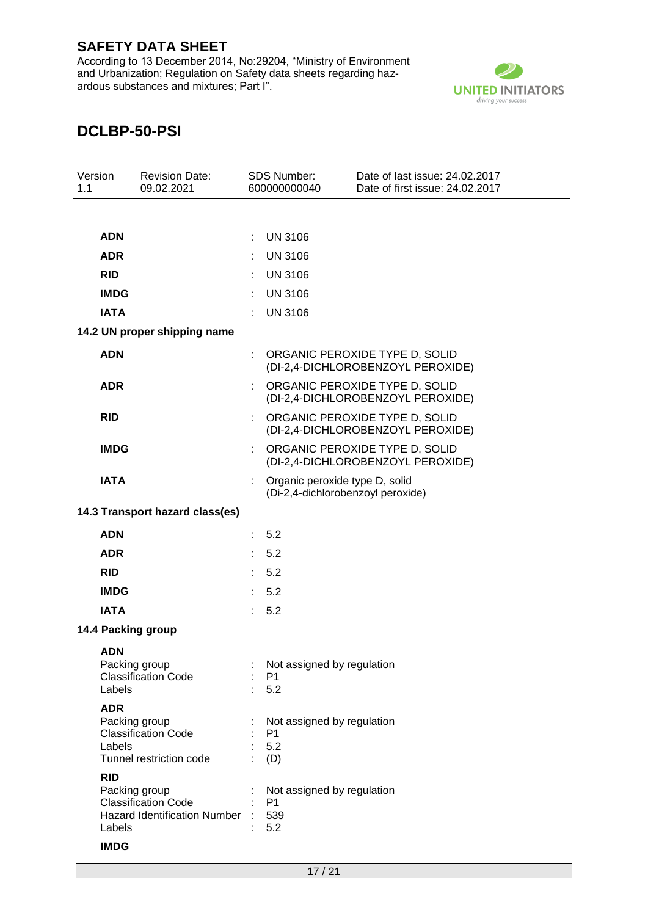According to 13 December 2014, No:29204, "Ministry of Environment and Urbanization; Regulation on Safety data sheets regarding hazardous substances and mixtures; Part I".



| Version<br>1.1 |                                     | <b>Revision Date:</b><br>09.02.2021                                                |                             | <b>SDS Number:</b><br>600000000040                                  | Date of last issue: 24.02.2017<br>Date of first issue: 24.02.2017   |
|----------------|-------------------------------------|------------------------------------------------------------------------------------|-----------------------------|---------------------------------------------------------------------|---------------------------------------------------------------------|
|                |                                     |                                                                                    |                             |                                                                     |                                                                     |
|                | <b>ADN</b>                          |                                                                                    |                             | <b>UN 3106</b>                                                      |                                                                     |
|                | <b>ADR</b>                          |                                                                                    |                             | <b>UN 3106</b>                                                      |                                                                     |
|                | <b>RID</b>                          |                                                                                    |                             | <b>UN 3106</b>                                                      |                                                                     |
|                | <b>IMDG</b>                         |                                                                                    | ÷                           | <b>UN 3106</b>                                                      |                                                                     |
|                | <b>IATA</b>                         |                                                                                    | ÷                           | <b>UN 3106</b>                                                      |                                                                     |
|                |                                     | 14.2 UN proper shipping name                                                       |                             |                                                                     |                                                                     |
|                | <b>ADN</b>                          |                                                                                    |                             |                                                                     | ORGANIC PEROXIDE TYPE D, SOLID<br>(DI-2,4-DICHLOROBENZOYL PEROXIDE) |
|                | <b>ADR</b>                          |                                                                                    |                             |                                                                     | ORGANIC PEROXIDE TYPE D, SOLID<br>(DI-2,4-DICHLOROBENZOYL PEROXIDE) |
|                | <b>RID</b>                          |                                                                                    |                             |                                                                     | ORGANIC PEROXIDE TYPE D, SOLID<br>(DI-2,4-DICHLOROBENZOYL PEROXIDE) |
|                | <b>IMDG</b>                         |                                                                                    | ÷                           |                                                                     | ORGANIC PEROXIDE TYPE D, SOLID<br>(DI-2,4-DICHLOROBENZOYL PEROXIDE) |
|                | <b>IATA</b>                         |                                                                                    | ÷                           | Organic peroxide type D, solid<br>(Di-2,4-dichlorobenzoyl peroxide) |                                                                     |
|                |                                     | 14.3 Transport hazard class(es)                                                    |                             |                                                                     |                                                                     |
|                | <b>ADN</b>                          |                                                                                    | ÷.                          | 5.2                                                                 |                                                                     |
|                | <b>ADR</b>                          |                                                                                    | ÷.                          | 5.2                                                                 |                                                                     |
|                | <b>RID</b>                          |                                                                                    | $\mathbb{R}^{n}$            | 5.2                                                                 |                                                                     |
|                | <b>IMDG</b>                         |                                                                                    | ÷                           | 5.2                                                                 |                                                                     |
|                | <b>IATA</b>                         |                                                                                    | $\mathcal{L}^{\mathcal{L}}$ | 5.2                                                                 |                                                                     |
|                |                                     | 14.4 Packing group                                                                 |                             |                                                                     |                                                                     |
|                | <b>ADN</b><br>Labels                | Packing group<br><b>Classification Code</b>                                        |                             | Not assigned by regulation<br>P <sub>1</sub><br>5.2                 |                                                                     |
|                | <b>ADR</b><br>Labels                | Packing group<br><b>Classification Code</b><br>Tunnel restriction code             |                             | Not assigned by regulation<br>P <sub>1</sub><br>5.2<br>(D)          |                                                                     |
|                | <b>RID</b><br>Labels<br><b>IMDG</b> | Packing group<br><b>Classification Code</b><br><b>Hazard Identification Number</b> |                             | Not assigned by regulation<br>P <sub>1</sub><br>539<br>5.2          |                                                                     |
|                |                                     |                                                                                    |                             |                                                                     |                                                                     |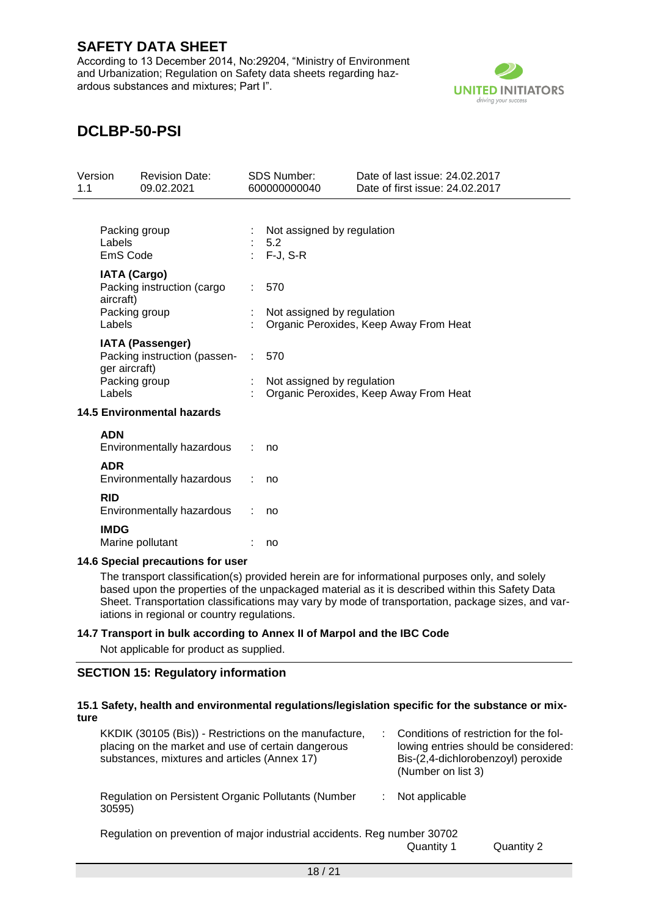According to 13 December 2014, No:29204, "Ministry of Environment and Urbanization; Regulation on Safety data sheets regarding hazardous substances and mixtures; Part I".



# **DCLBP-50-PSI**

| Version<br>1.1 |                                                   | <b>Revision Date:</b><br>09.02.2021                     | <b>SDS Number:</b><br>600000000040              | Date of last issue: 24.02.2017<br>Date of first issue: 24.02.2017 |
|----------------|---------------------------------------------------|---------------------------------------------------------|-------------------------------------------------|-------------------------------------------------------------------|
|                | Packing group<br>Labels<br>EmS Code               |                                                         | Not assigned by regulation<br>5.2<br>$F-J, S-R$ |                                                                   |
|                | <b>IATA (Cargo)</b><br>aircraft)<br>Packing group | Packing instruction (cargo                              | 570<br>Not assigned by regulation               |                                                                   |
|                | Labels<br>ger aircraft)                           | <b>IATA (Passenger)</b><br>Packing instruction (passen- | 570                                             | Organic Peroxides, Keep Away From Heat                            |
|                | Packing group<br>Labels                           |                                                         | Not assigned by regulation                      | Organic Peroxides, Keep Away From Heat                            |
|                |                                                   | <b>14.5 Environmental hazards</b>                       |                                                 |                                                                   |
|                | <b>ADN</b>                                        | Environmentally hazardous                               | no                                              |                                                                   |
|                | <b>ADR</b>                                        | Environmentally hazardous                               | no                                              |                                                                   |
|                | <b>RID</b>                                        | Environmentally hazardous                               | no                                              |                                                                   |
|                | <b>IMDG</b>                                       | Marine pollutant                                        | no                                              |                                                                   |

#### **14.6 Special precautions for user**

The transport classification(s) provided herein are for informational purposes only, and solely based upon the properties of the unpackaged material as it is described within this Safety Data Sheet. Transportation classifications may vary by mode of transportation, package sizes, and variations in regional or country regulations.

#### **14.7 Transport in bulk according to Annex II of Marpol and the IBC Code**

Not applicable for product as supplied.

### **SECTION 15: Regulatory information**

#### **15.1 Safety, health and environmental regulations/legislation specific for the substance or mixture**

| KKDIK (30105 (Bis)) - Restrictions on the manufacture,<br>placing on the market and use of certain dangerous<br>substances, mixtures and articles (Annex 17) | Conditions of restriction for the fol-<br>Bis-(2,4-dichlorobenzoyl) peroxide<br>(Number on list 3) | lowing entries should be considered: |
|--------------------------------------------------------------------------------------------------------------------------------------------------------------|----------------------------------------------------------------------------------------------------|--------------------------------------|
| Regulation on Persistent Organic Pollutants (Number<br>30595)                                                                                                | Not applicable                                                                                     |                                      |
| Regulation on prevention of major industrial accidents. Reg number 30702                                                                                     | Quantity 1                                                                                         | Quantity 2                           |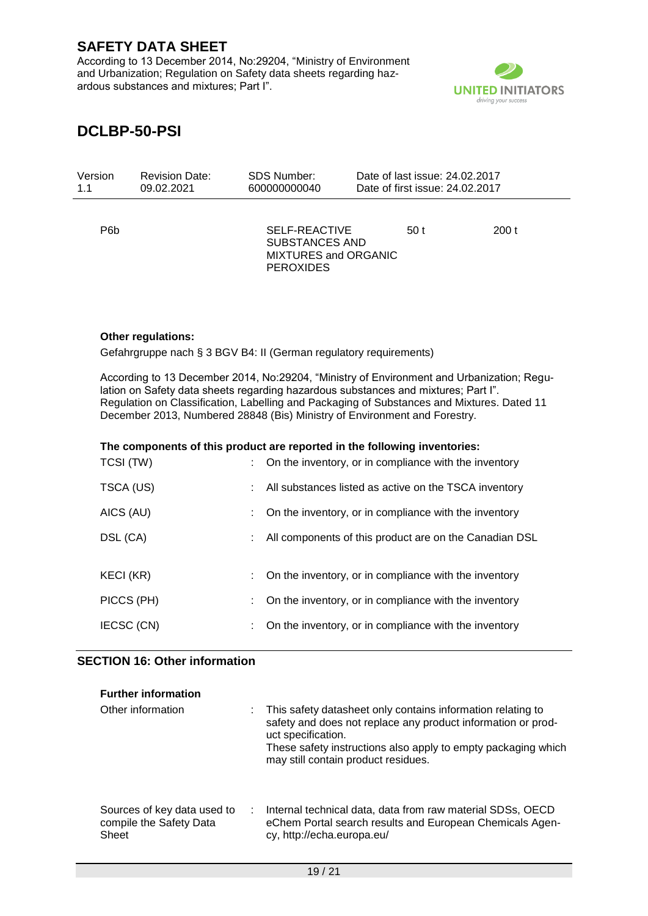According to 13 December 2014, No:29204, "Ministry of Environment and Urbanization; Regulation on Safety data sheets regarding hazardous substances and mixtures; Part I".



# **DCLBP-50-PSI**

| Version | <b>Revision Date:</b> | SDS Number:                                                                        | Date of last issue: 24,02,2017  |      |
|---------|-----------------------|------------------------------------------------------------------------------------|---------------------------------|------|
| 1.1     | 09.02.2021            | 600000000040                                                                       | Date of first issue: 24.02.2017 |      |
| P6b     |                       | SELF-REACTIVE<br><b>SUBSTANCES AND</b><br>MIXTURES and ORGANIC<br><b>PEROXIDES</b> | 50 t                            | 200t |

### **Other regulations:**

Gefahrgruppe nach § 3 BGV B4: II (German regulatory requirements)

According to 13 December 2014, No:29204, "Ministry of Environment and Urbanization; Regulation on Safety data sheets regarding hazardous substances and mixtures; Part I". Regulation on Classification, Labelling and Packaging of Substances and Mixtures. Dated 11 December 2013, Numbered 28848 (Bis) Ministry of Environment and Forestry.

|  | The components of this product are reported in the following inventories: |
|--|---------------------------------------------------------------------------|
|  |                                                                           |

| TCSI (TW)  | On the inventory, or in compliance with the inventory  |
|------------|--------------------------------------------------------|
| TSCA (US)  | All substances listed as active on the TSCA inventory  |
| AICS (AU)  | On the inventory, or in compliance with the inventory  |
| DSL (CA)   | All components of this product are on the Canadian DSL |
|            |                                                        |
| KECI (KR)  | On the inventory, or in compliance with the inventory  |
| PICCS (PH) | On the inventory, or in compliance with the inventory  |
| IECSC (CN) | On the inventory, or in compliance with the inventory  |

#### **SECTION 16: Other information**

| <b>Further information</b>                                            |                                                                                                                                                                                                                                                           |
|-----------------------------------------------------------------------|-----------------------------------------------------------------------------------------------------------------------------------------------------------------------------------------------------------------------------------------------------------|
| Other information                                                     | This safety datasheet only contains information relating to<br>safety and does not replace any product information or prod-<br>uct specification.<br>These safety instructions also apply to empty packaging which<br>may still contain product residues. |
| Sources of key data used to<br>÷.<br>compile the Safety Data<br>Sheet | Internal technical data, data from raw material SDSs, OECD<br>eChem Portal search results and European Chemicals Agen-<br>cy, http://echa.europa.eu/                                                                                                      |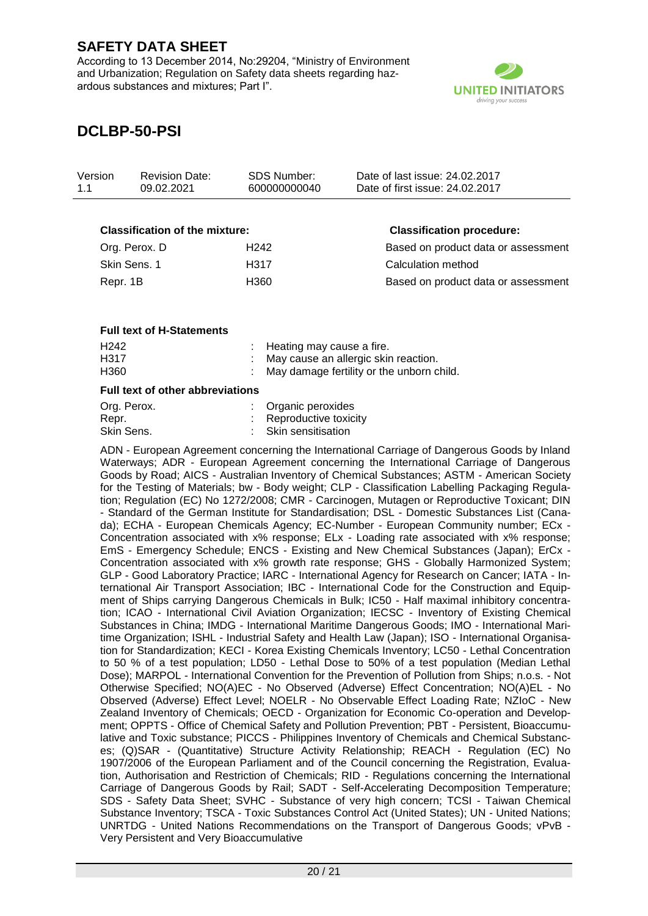According to 13 December 2014, No:29204, "Ministry of Environment and Urbanization; Regulation on Safety data sheets regarding hazardous substances and mixtures; Part I".



# **DCLBP-50-PSI**

| Version<br>1.1 | <b>Revision Date:</b><br>09.02.2021   | <b>SDS Number:</b><br>600000000040 | Date of last issue: 24.02.2017<br>Date of first issue: 24.02.2017 |
|----------------|---------------------------------------|------------------------------------|-------------------------------------------------------------------|
|                | <b>Classification of the mixture:</b> |                                    | <b>Classification procedure:</b>                                  |
|                | Org. Perox. D                         | H <sub>242</sub>                   | Based on product data or assessment                               |
|                | Skin Sens. 1                          | H317                               | Calculation method                                                |
|                |                                       |                                    |                                                                   |

Repr. 1B **H360** Based on product data or assessment

#### **Full text of H-Statements**

| H <sub>242</sub> | $\therefore$ Heating may cause a fire.      |
|------------------|---------------------------------------------|
| H317             | : May cause an allergic skin reaction.      |
| H360             | : May damage fertility or the unborn child. |

#### **Full text of other abbreviations**

| : Organic peroxides       |
|---------------------------|
| $:$ Reproductive toxicity |
| : Skin sensitisation      |
|                           |

ADN - European Agreement concerning the International Carriage of Dangerous Goods by Inland Waterways; ADR - European Agreement concerning the International Carriage of Dangerous Goods by Road; AICS - Australian Inventory of Chemical Substances; ASTM - American Society for the Testing of Materials; bw - Body weight; CLP - Classification Labelling Packaging Regulation; Regulation (EC) No 1272/2008; CMR - Carcinogen, Mutagen or Reproductive Toxicant; DIN - Standard of the German Institute for Standardisation; DSL - Domestic Substances List (Canada); ECHA - European Chemicals Agency; EC-Number - European Community number; ECx - Concentration associated with x% response; ELx - Loading rate associated with x% response; EmS - Emergency Schedule; ENCS - Existing and New Chemical Substances (Japan); ErCx - Concentration associated with x% growth rate response; GHS - Globally Harmonized System; GLP - Good Laboratory Practice; IARC - International Agency for Research on Cancer; IATA - International Air Transport Association; IBC - International Code for the Construction and Equipment of Ships carrying Dangerous Chemicals in Bulk; IC50 - Half maximal inhibitory concentration; ICAO - International Civil Aviation Organization; IECSC - Inventory of Existing Chemical Substances in China; IMDG - International Maritime Dangerous Goods; IMO - International Maritime Organization; ISHL - Industrial Safety and Health Law (Japan); ISO - International Organisation for Standardization; KECI - Korea Existing Chemicals Inventory; LC50 - Lethal Concentration to 50 % of a test population; LD50 - Lethal Dose to 50% of a test population (Median Lethal Dose); MARPOL - International Convention for the Prevention of Pollution from Ships; n.o.s. - Not Otherwise Specified; NO(A)EC - No Observed (Adverse) Effect Concentration; NO(A)EL - No Observed (Adverse) Effect Level; NOELR - No Observable Effect Loading Rate; NZIoC - New Zealand Inventory of Chemicals; OECD - Organization for Economic Co-operation and Development; OPPTS - Office of Chemical Safety and Pollution Prevention; PBT - Persistent, Bioaccumulative and Toxic substance; PICCS - Philippines Inventory of Chemicals and Chemical Substances; (Q)SAR - (Quantitative) Structure Activity Relationship; REACH - Regulation (EC) No 1907/2006 of the European Parliament and of the Council concerning the Registration, Evaluation, Authorisation and Restriction of Chemicals; RID - Regulations concerning the International Carriage of Dangerous Goods by Rail; SADT - Self-Accelerating Decomposition Temperature; SDS - Safety Data Sheet; SVHC - Substance of very high concern; TCSI - Taiwan Chemical Substance Inventory; TSCA - Toxic Substances Control Act (United States); UN - United Nations; UNRTDG - United Nations Recommendations on the Transport of Dangerous Goods; vPvB - Very Persistent and Very Bioaccumulative